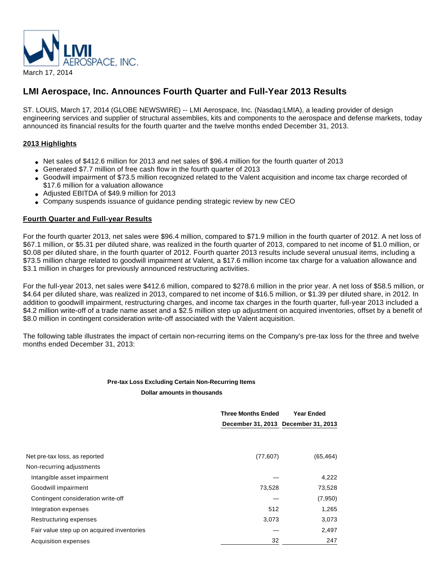

# **LMI Aerospace, Inc. Announces Fourth Quarter and Full-Year 2013 Results**

ST. LOUIS, March 17, 2014 (GLOBE NEWSWIRE) -- LMI Aerospace, Inc. (Nasdaq:LMIA), a leading provider of design engineering services and supplier of structural assemblies, kits and components to the aerospace and defense markets, today announced its financial results for the fourth quarter and the twelve months ended December 31, 2013.

## **2013 Highlights**

- Net sales of \$412.6 million for 2013 and net sales of \$96.4 million for the fourth quarter of 2013
- Generated \$7.7 million of free cash flow in the fourth quarter of 2013
- Goodwill impairment of \$73.5 million recognized related to the Valent acquisition and income tax charge recorded of \$17.6 million for a valuation allowance
- Adjusted EBITDA of \$49.9 million for 2013
- Company suspends issuance of guidance pending strategic review by new CEO

## **Fourth Quarter and Full-year Results**

For the fourth quarter 2013, net sales were \$96.4 million, compared to \$71.9 million in the fourth quarter of 2012. A net loss of \$67.1 million, or \$5.31 per diluted share, was realized in the fourth quarter of 2013, compared to net income of \$1.0 million, or \$0.08 per diluted share, in the fourth quarter of 2012. Fourth quarter 2013 results include several unusual items, including a \$73.5 million charge related to goodwill impairment at Valent, a \$17.6 million income tax charge for a valuation allowance and \$3.1 million in charges for previously announced restructuring activities.

For the full-year 2013, net sales were \$412.6 million, compared to \$278.6 million in the prior year. A net loss of \$58.5 million, or \$4.64 per diluted share, was realized in 2013, compared to net income of \$16.5 million, or \$1.39 per diluted share, in 2012. In addition to goodwill impairment, restructuring charges, and income tax charges in the fourth quarter, full-year 2013 included a \$4.2 million write-off of a trade name asset and a \$2.5 million step up adjustment on acquired inventories, offset by a benefit of \$8.0 million in contingent consideration write-off associated with the Valent acquisition.

The following table illustrates the impact of certain non-recurring items on the Company's pre-tax loss for the three and twelve months ended December 31, 2013:

## **Pre-tax Loss Excluding Certain Non-Recurring Items Dollar amounts in thousands**

|                                            | <b>Three Months Ended</b>           | <b>Year Ended</b> |  |  |
|--------------------------------------------|-------------------------------------|-------------------|--|--|
|                                            | December 31, 2013 December 31, 2013 |                   |  |  |
|                                            |                                     |                   |  |  |
| Net pre-tax loss, as reported              | (77, 607)                           | (65, 464)         |  |  |
| Non-recurring adjustments                  |                                     |                   |  |  |
| Intangible asset impairment                |                                     | 4,222             |  |  |
| Goodwill impairment                        | 73,528                              | 73,528            |  |  |
| Contingent consideration write-off         |                                     | (7,950)           |  |  |
| Integration expenses                       | 512                                 | 1,265             |  |  |
| Restructuring expenses                     | 3,073                               | 3,073             |  |  |
| Fair value step up on acquired inventories |                                     | 2,497             |  |  |
| Acquisition expenses                       | 32                                  | 247               |  |  |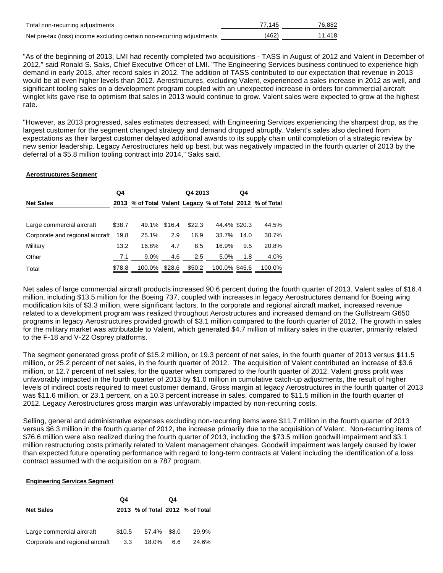| Total non-recurring adjustments                                       | 77.145 | 76.882 |
|-----------------------------------------------------------------------|--------|--------|
| Net pre-tax (loss) income excluding certain non-recurring adjustments | (462)  | 11.418 |

"As of the beginning of 2013, LMI had recently completed two acquisitions - TASS in August of 2012 and Valent in December of 2012," said Ronald S. Saks, Chief Executive Officer of LMI. "The Engineering Services business continued to experience high demand in early 2013, after record sales in 2012. The addition of TASS contributed to our expectation that revenue in 2013 would be at even higher levels than 2012. Aerostructures, excluding Valent, experienced a sales increase in 2012 as well, and significant tooling sales on a development program coupled with an unexpected increase in orders for commercial aircraft winglet kits gave rise to optimism that sales in 2013 would continue to grow. Valent sales were expected to grow at the highest rate.

"However, as 2013 progressed, sales estimates decreased, with Engineering Services experiencing the sharpest drop, as the largest customer for the segment changed strategy and demand dropped abruptly. Valent's sales also declined from expectations as their largest customer delayed additional awards to its supply chain until completion of a strategic review by new senior leadership. Legacy Aerostructures held up best, but was negatively impacted in the fourth quarter of 2013 by the deferral of a \$5.8 million tooling contract into 2014," Saks said.

#### **Aerostructures Segment**

|                                 | Q4     |        |        | Q4 2013 |               | Q4   |                                                          |
|---------------------------------|--------|--------|--------|---------|---------------|------|----------------------------------------------------------|
| <b>Net Sales</b>                |        |        |        |         |               |      | 2013 % of Total Valent Legacy % of Total 2012 % of Total |
| Large commercial aircraft       | \$38.7 | 49.1%  | \$16.4 | \$22.3  | 44.4% \$20.3  |      | 44.5%                                                    |
| Corporate and regional aircraft | 19.8   | 25.1%  | 2.9    | 16.9    | 33.7%         | 14.0 | 30.7%                                                    |
| Military                        | 13.2   | 16.8%  | 4.7    | 8.5     | 16.9%         | 9.5  | 20.8%                                                    |
| Other                           | 7.1    | 9.0%   | 4.6    | 2.5     | 5.0%          | 1.8  | 4.0%                                                     |
| Total                           | \$78.8 | 100.0% | \$28.6 | \$50.2  | 100.0% \$45.6 |      | 100.0%                                                   |

Net sales of large commercial aircraft products increased 90.6 percent during the fourth quarter of 2013. Valent sales of \$16.4 million, including \$13.5 million for the Boeing 737, coupled with increases in legacy Aerostructures demand for Boeing wing modification kits of \$3.3 million, were significant factors. In the corporate and regional aircraft market, increased revenue related to a development program was realized throughout Aerostructures and increased demand on the Gulfstream G650 programs in legacy Aerostructures provided growth of \$3.1 million compared to the fourth quarter of 2012. The growth in sales for the military market was attributable to Valent, which generated \$4.7 million of military sales in the quarter, primarily related to the F-18 and V-22 Osprey platforms.

The segment generated gross profit of \$15.2 million, or 19.3 percent of net sales, in the fourth quarter of 2013 versus \$11.5 million, or 25.2 percent of net sales, in the fourth quarter of 2012. The acquisition of Valent contributed an increase of \$3.6 million, or 12.7 percent of net sales, for the quarter when compared to the fourth quarter of 2012. Valent gross profit was unfavorably impacted in the fourth quarter of 2013 by \$1.0 million in cumulative catch-up adjustments, the result of higher levels of indirect costs required to meet customer demand. Gross margin at legacy Aerostructures in the fourth quarter of 2013 was \$11.6 million, or 23.1 percent, on a 10.3 percent increase in sales, compared to \$11.5 million in the fourth quarter of 2012. Legacy Aerostructures gross margin was unfavorably impacted by non-recurring costs.

Selling, general and administrative expenses excluding non-recurring items were \$11.7 million in the fourth quarter of 2013 versus \$6.3 million in the fourth quarter of 2012, the increase primarily due to the acquisition of Valent. Non-recurring items of \$76.6 million were also realized during the fourth quarter of 2013, including the \$73.5 million goodwill impairment and \$3.1 million restructuring costs primarily related to Valent management changes. Goodwill impairment was largely caused by lower than expected future operating performance with regard to long-term contracts at Valent including the identification of a loss contract assumed with the acquisition on a 787 program.

#### **Engineering Services Segment**

|                                 | Q4     |                                 | Q4  |       |
|---------------------------------|--------|---------------------------------|-----|-------|
| <b>Net Sales</b>                |        | 2013 % of Total 2012 % of Total |     |       |
| Large commercial aircraft       | \$10.5 | 57.4% \$8.0                     |     | 29.9% |
| Corporate and regional aircraft | 3.3    | 18.0%                           | 6.6 | 24.6% |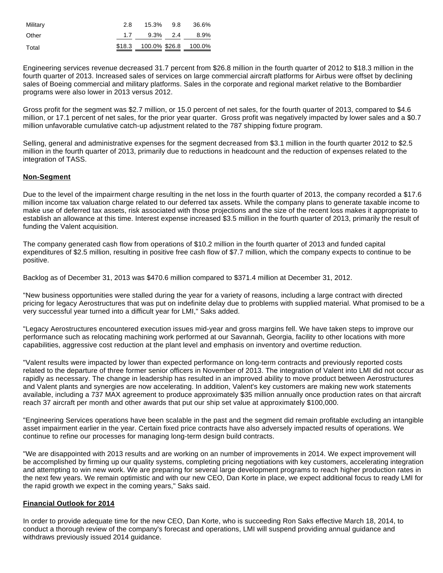| Military | 2.8 | 15.3% 9.8                   | 36.6% |
|----------|-----|-----------------------------|-------|
| Other    |     | $1.7$ $9.3\%$ $2.4$ $8.9\%$ |       |
| Total    |     | \$18.3 100.0% \$26.8 100.0% |       |

Engineering services revenue decreased 31.7 percent from \$26.8 million in the fourth quarter of 2012 to \$18.3 million in the fourth quarter of 2013. Increased sales of services on large commercial aircraft platforms for Airbus were offset by declining sales of Boeing commercial and military platforms. Sales in the corporate and regional market relative to the Bombardier programs were also lower in 2013 versus 2012.

Gross profit for the segment was \$2.7 million, or 15.0 percent of net sales, for the fourth quarter of 2013, compared to \$4.6 million, or 17.1 percent of net sales, for the prior year quarter. Gross profit was negatively impacted by lower sales and a \$0.7 million unfavorable cumulative catch-up adjustment related to the 787 shipping fixture program.

Selling, general and administrative expenses for the segment decreased from \$3.1 million in the fourth quarter 2012 to \$2.5 million in the fourth quarter of 2013, primarily due to reductions in headcount and the reduction of expenses related to the integration of TASS.

## **Non-Segment**

Due to the level of the impairment charge resulting in the net loss in the fourth quarter of 2013, the company recorded a \$17.6 million income tax valuation charge related to our deferred tax assets. While the company plans to generate taxable income to make use of deferred tax assets, risk associated with those projections and the size of the recent loss makes it appropriate to establish an allowance at this time. Interest expense increased \$3.5 million in the fourth quarter of 2013, primarily the result of funding the Valent acquisition.

The company generated cash flow from operations of \$10.2 million in the fourth quarter of 2013 and funded capital expenditures of \$2.5 million, resulting in positive free cash flow of \$7.7 million, which the company expects to continue to be positive.

Backlog as of December 31, 2013 was \$470.6 million compared to \$371.4 million at December 31, 2012.

"New business opportunities were stalled during the year for a variety of reasons, including a large contract with directed pricing for legacy Aerostructures that was put on indefinite delay due to problems with supplied material. What promised to be a very successful year turned into a difficult year for LMI," Saks added.

"Legacy Aerostructures encountered execution issues mid-year and gross margins fell. We have taken steps to improve our performance such as relocating machining work performed at our Savannah, Georgia, facility to other locations with more capabilities, aggressive cost reduction at the plant level and emphasis on inventory and overtime reduction.

"Valent results were impacted by lower than expected performance on long-term contracts and previously reported costs related to the departure of three former senior officers in November of 2013. The integration of Valent into LMI did not occur as rapidly as necessary. The change in leadership has resulted in an improved ability to move product between Aerostructures and Valent plants and synergies are now accelerating. In addition, Valent's key customers are making new work statements available, including a 737 MAX agreement to produce approximately \$35 million annually once production rates on that aircraft reach 37 aircraft per month and other awards that put our ship set value at approximately \$100,000.

"Engineering Services operations have been scalable in the past and the segment did remain profitable excluding an intangible asset impairment earlier in the year. Certain fixed price contracts have also adversely impacted results of operations. We continue to refine our processes for managing long-term design build contracts.

"We are disappointed with 2013 results and are working on an number of improvements in 2014. We expect improvement will be accomplished by firming up our quality systems, completing pricing negotiations with key customers, accelerating integration and attempting to win new work. We are preparing for several large development programs to reach higher production rates in the next few years. We remain optimistic and with our new CEO, Dan Korte in place, we expect additional focus to ready LMI for the rapid growth we expect in the coming years," Saks said.

#### **Financial Outlook for 2014**

In order to provide adequate time for the new CEO, Dan Korte, who is succeeding Ron Saks effective March 18, 2014, to conduct a thorough review of the company's forecast and operations, LMI will suspend providing annual guidance and withdraws previously issued 2014 guidance.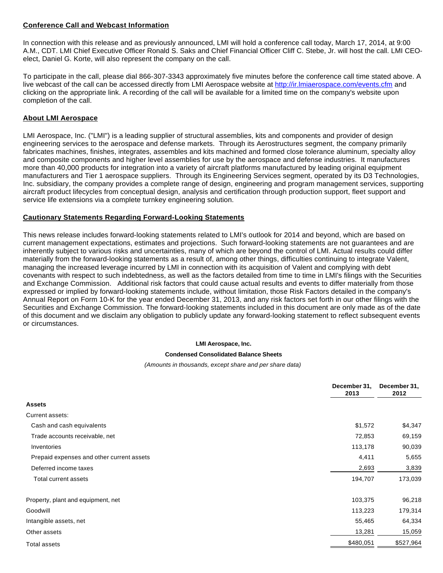#### **Conference Call and Webcast Information**

In connection with this release and as previously announced, LMI will hold a conference call today, March 17, 2014, at 9:00 A.M., CDT. LMI Chief Executive Officer Ronald S. Saks and Chief Financial Officer Cliff C. Stebe, Jr. will host the call. LMI CEOelect, Daniel G. Korte, will also represent the company on the call.

To participate in the call, please dial 866-307-3343 approximately five minutes before the conference call time stated above. A live webcast of the call can be accessed directly from LMI Aerospace website at [http://ir.lmiaerospace.com/events.cfm](http://www.globenewswire.com/newsroom/ctr?d=10072791&l=29&u=http%3A%2F%2Fir.lmiaerospace.com%2Fevents.cfm) and clicking on the appropriate link. A recording of the call will be available for a limited time on the company's website upon completion of the call.

#### **About LMI Aerospace**

LMI Aerospace, Inc. ("LMI") is a leading supplier of structural assemblies, kits and components and provider of design engineering services to the aerospace and defense markets. Through its Aerostructures segment, the company primarily fabricates machines, finishes, integrates, assembles and kits machined and formed close tolerance aluminum, specialty alloy and composite components and higher level assemblies for use by the aerospace and defense industries. It manufactures more than 40,000 products for integration into a variety of aircraft platforms manufactured by leading original equipment manufacturers and Tier 1 aerospace suppliers. Through its Engineering Services segment, operated by its D3 Technologies, Inc. subsidiary, the company provides a complete range of design, engineering and program management services, supporting aircraft product lifecycles from conceptual design, analysis and certification through production support, fleet support and service life extensions via a complete turnkey engineering solution.

#### **Cautionary Statements Regarding Forward-Looking Statements**

This news release includes forward-looking statements related to LMI's outlook for 2014 and beyond, which are based on current management expectations, estimates and projections. Such forward-looking statements are not guarantees and are inherently subject to various risks and uncertainties, many of which are beyond the control of LMI. Actual results could differ materially from the forward-looking statements as a result of, among other things, difficulties continuing to integrate Valent, managing the increased leverage incurred by LMI in connection with its acquisition of Valent and complying with debt covenants with respect to such indebtedness, as well as the factors detailed from time to time in LMI's filings with the Securities and Exchange Commission. Additional risk factors that could cause actual results and events to differ materially from those expressed or implied by forward-looking statements include, without limitation, those Risk Factors detailed in the company's Annual Report on Form 10-K for the year ended December 31, 2013, and any risk factors set forth in our other filings with the Securities and Exchange Commission. The forward-looking statements included in this document are only made as of the date of this document and we disclaim any obligation to publicly update any forward-looking statement to reflect subsequent events or circumstances.

#### **LMI Aerospace, Inc.**

#### **Condensed Consolidated Balance Sheets**

#### (Amounts in thousands, except share and per share data)

|                                           | December 31,<br>2013 | December 31,<br>2012 |
|-------------------------------------------|----------------------|----------------------|
| <b>Assets</b>                             |                      |                      |
| Current assets:                           |                      |                      |
| Cash and cash equivalents                 | \$1,572              | \$4,347              |
| Trade accounts receivable, net            | 72,853               | 69,159               |
| Inventories                               | 113,178              | 90,039               |
| Prepaid expenses and other current assets | 4,411                | 5,655                |
| Deferred income taxes                     | 2,693                | 3,839                |
| Total current assets                      | 194,707              | 173,039              |
| Property, plant and equipment, net        | 103,375              | 96,218               |
| Goodwill                                  | 113,223              | 179,314              |
| Intangible assets, net                    | 55,465               | 64,334               |
| Other assets                              | 13,281               | 15,059               |
| <b>Total assets</b>                       | \$480,051            | \$527,964            |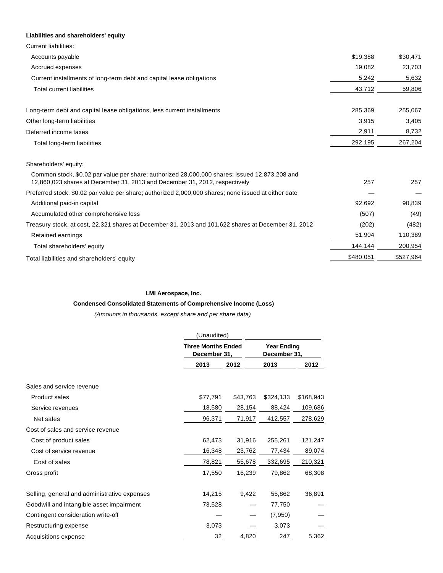| Liabilities and shareholders' equity                                                                                                                                        |           |           |
|-----------------------------------------------------------------------------------------------------------------------------------------------------------------------------|-----------|-----------|
| <b>Current liabilities:</b>                                                                                                                                                 |           |           |
| Accounts payable                                                                                                                                                            | \$19,388  | \$30,471  |
| Accrued expenses                                                                                                                                                            | 19,082    | 23,703    |
| Current installments of long-term debt and capital lease obligations                                                                                                        | 5,242     | 5,632     |
| <b>Total current liabilities</b>                                                                                                                                            | 43,712    | 59,806    |
| Long-term debt and capital lease obligations, less current installments                                                                                                     | 285,369   | 255,067   |
| Other long-term liabilities                                                                                                                                                 | 3,915     | 3,405     |
| Deferred income taxes                                                                                                                                                       | 2,911     | 8,732     |
| Total long-term liabilities                                                                                                                                                 | 292,195   | 267,204   |
| Shareholders' equity:                                                                                                                                                       |           |           |
| Common stock, \$0.02 par value per share; authorized 28,000,000 shares; issued 12,873,208 and<br>12,860,023 shares at December 31, 2013 and December 31, 2012, respectively | 257       | 257       |
| Preferred stock, \$0.02 par value per share; authorized 2,000,000 shares; none issued at either date                                                                        |           |           |
| Additional paid-in capital                                                                                                                                                  | 92,692    | 90,839    |
| Accumulated other comprehensive loss                                                                                                                                        | (507)     | (49)      |
| Treasury stock, at cost, 22,321 shares at December 31, 2013 and 101,622 shares at December 31, 2012                                                                         | (202)     | (482)     |
| Retained earnings                                                                                                                                                           | 51,904    | 110,389   |
| Total shareholders' equity                                                                                                                                                  | 144,144   | 200,954   |
| Total liabilities and shareholders' equity                                                                                                                                  | \$480,051 | \$527,964 |

#### **LMI Aerospace, Inc.**

## **Condensed Consolidated Statements of Comprehensive Income (Loss)**

(Amounts in thousands, except share and per share data)

|                                              | (Unaudited) |                                           |           |                                    |
|----------------------------------------------|-------------|-------------------------------------------|-----------|------------------------------------|
|                                              |             | <b>Three Months Ended</b><br>December 31, |           | <b>Year Ending</b><br>December 31, |
|                                              | 2013        | 2012                                      | 2013      | 2012                               |
| Sales and service revenue                    |             |                                           |           |                                    |
| <b>Product sales</b>                         | \$77,791    | \$43,763                                  | \$324,133 | \$168,943                          |
| Service revenues                             | 18,580      | 28,154                                    | 88,424    | 109,686                            |
| Net sales                                    | 96,371      | 71,917                                    | 412,557   | 278,629                            |
| Cost of sales and service revenue            |             |                                           |           |                                    |
| Cost of product sales                        | 62,473      | 31,916                                    | 255,261   | 121,247                            |
| Cost of service revenue                      | 16,348      | 23,762                                    | 77,434    | 89,074                             |
| Cost of sales                                | 78,821      | 55,678                                    | 332,695   | 210,321                            |
| Gross profit                                 | 17,550      | 16,239                                    | 79,862    | 68,308                             |
| Selling, general and administrative expenses | 14,215      | 9,422                                     | 55,862    | 36,891                             |
| Goodwill and intangible asset impairment     | 73,528      |                                           | 77,750    |                                    |
| Contingent consideration write-off           |             |                                           | (7,950)   |                                    |
| Restructuring expense                        | 3,073       |                                           | 3,073     |                                    |
| Acquisitions expense                         | 32          | 4,820                                     | 247       | 5,362                              |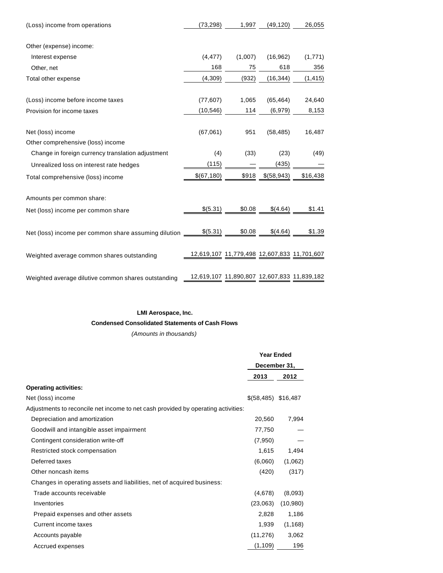| (Loss) income from operations                            | (73, 298)   | 1,997                                       | (49, 120)  | 26,055   |
|----------------------------------------------------------|-------------|---------------------------------------------|------------|----------|
| Other (expense) income:                                  |             |                                             |            |          |
| Interest expense                                         | (4, 477)    | (1,007)                                     | (16, 962)  | (1,771)  |
| Other, net                                               | 168         | 75                                          | 618        | 356      |
| Total other expense                                      | (4,309)     | (932)                                       | (16, 344)  | (1, 415) |
|                                                          |             |                                             |            |          |
| (Loss) income before income taxes                        | (77, 607)   | 1,065                                       | (65, 464)  | 24,640   |
| Provision for income taxes                               | (10, 546)   | 114                                         | (6,979)    | 8,153    |
|                                                          |             |                                             |            |          |
| Net (loss) income                                        | (67,061)    | 951                                         | (58, 485)  | 16,487   |
| Other comprehensive (loss) income                        |             |                                             |            |          |
| Change in foreign currency translation adjustment        | (4)         | (33)                                        | (23)       | (49)     |
| Unrealized loss on interest rate hedges                  | (115)       |                                             | (435)      |          |
| Total comprehensive (loss) income                        | \$(67, 180) | \$918                                       | \$(58,943) | \$16,438 |
|                                                          |             |                                             |            |          |
| Amounts per common share:                                |             |                                             |            |          |
| Net (loss) income per common share                       | \$(5.31)    | \$0.08                                      | \$(4.64)   | \$1.41   |
|                                                          |             |                                             |            |          |
| Net (loss) income per common share assuming dilution ___ | \$(5.31)    | \$0.08                                      | \$(4.64)   | \$1.39   |
|                                                          |             | 12,619,107 11,779,498 12,607,833 11,701,607 |            |          |
| Weighted average common shares outstanding               |             |                                             |            |          |
| Weighted average dilutive common shares outstanding      |             | 12,619,107 11,890,807 12,607,833 11,839,182 |            |          |

## **LMI Aerospace, Inc.**

**Condensed Consolidated Statements of Cash Flows**

(Amounts in thousands)

|                                                                                   | <b>Year Ended</b>    |          |
|-----------------------------------------------------------------------------------|----------------------|----------|
|                                                                                   | December 31,         |          |
|                                                                                   | 2013                 | 2012     |
| <b>Operating activities:</b>                                                      |                      |          |
| Net (loss) income                                                                 | $$(58,485)$ \$16,487 |          |
| Adjustments to reconcile net income to net cash provided by operating activities: |                      |          |
| Depreciation and amortization                                                     | 20,560               | 7,994    |
| Goodwill and intangible asset impairment                                          | 77,750               |          |
| Contingent consideration write-off                                                | (7,950)              |          |
| Restricted stock compensation                                                     | 1,615                | 1,494    |
| Deferred taxes                                                                    | (6,060)              | (1,062)  |
| Other noncash items                                                               | (420)                | (317)    |
| Changes in operating assets and liabilities, net of acquired business:            |                      |          |
| Trade accounts receivable                                                         | (4,678)              | (8,093)  |
| Inventories                                                                       | (23,063)             | (10,980) |
| Prepaid expenses and other assets                                                 | 2,828                | 1,186    |
| Current income taxes                                                              | 1,939                | (1, 168) |
| Accounts payable                                                                  | (11, 276)            | 3,062    |
| Accrued expenses                                                                  | (1, 109)             | 196      |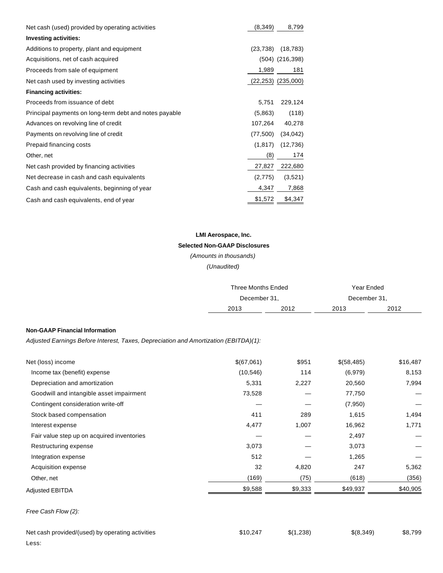| Net cash (used) provided by operating activities       | (8,349)   | 8,799                  |
|--------------------------------------------------------|-----------|------------------------|
| <b>Investing activities:</b>                           |           |                        |
| Additions to property, plant and equipment             | (23, 738) | (18, 783)              |
| Acquisitions, net of cash acquired                     |           | $(504)$ $(216,398)$    |
| Proceeds from sale of equipment                        | 1,989     | 181                    |
| Net cash used by investing activities                  |           | $(22,253)$ $(235,000)$ |
| <b>Financing activities:</b>                           |           |                        |
| Proceeds from issuance of debt                         | 5,751     | 229,124                |
| Principal payments on long-term debt and notes payable | (5,863)   | (118)                  |
| Advances on revolving line of credit                   | 107,264   | 40,278                 |
| Payments on revolving line of credit                   | (77,500)  | (34, 042)              |
| Prepaid financing costs                                | (1, 817)  | (12, 736)              |
| Other, net                                             | (8)       | 174                    |
| Net cash provided by financing activities              | 27,827    | 222,680                |
| Net decrease in cash and cash equivalents              | (2,775)   | (3,521)                |
| Cash and cash equivalents, beginning of year           | 4,347     | 7,868                  |
| Cash and cash equivalents, end of year                 | \$1,572   | \$4,347                |

# **LMI Aerospace, Inc. Selected Non-GAAP Disclosures**

(Amounts in thousands)

(Unaudited)

|                                                                                      |            | <b>Three Months Ended</b><br>December 31, |            | Year Ended   |
|--------------------------------------------------------------------------------------|------------|-------------------------------------------|------------|--------------|
|                                                                                      |            |                                           |            | December 31, |
|                                                                                      | 2013       | 2012                                      | 2013       | 2012         |
| <b>Non-GAAP Financial Information</b>                                                |            |                                           |            |              |
| Adjusted Earnings Before Interest, Taxes, Depreciation and Amortization (EBITDA)(1): |            |                                           |            |              |
| Net (loss) income                                                                    | \$(67,061) | \$951                                     | \$(58,485) | \$16,487     |
| Income tax (benefit) expense                                                         | (10, 546)  | 114                                       | (6,979)    | 8,153        |
| Depreciation and amortization                                                        | 5,331      | 2,227                                     | 20,560     | 7,994        |
| Goodwill and intangible asset impairment                                             | 73,528     |                                           | 77,750     |              |
| Contingent consideration write-off                                                   |            |                                           | (7,950)    |              |
| Stock based compensation                                                             | 411        | 289                                       | 1,615      | 1,494        |
| Interest expense                                                                     | 4,477      | 1,007                                     | 16,962     | 1,771        |
| Fair value step up on acquired inventories                                           |            |                                           | 2,497      |              |
| Restructuring expense                                                                | 3,073      |                                           | 3,073      |              |
| Integration expense                                                                  | 512        |                                           | 1,265      |              |
| Acquisition expense                                                                  | 32         | 4,820                                     | 247        | 5,362        |
| Other, net                                                                           | (169)      | (75)                                      | (618)      | (356)        |
| <b>Adjusted EBITDA</b>                                                               | \$9,588    | \$9,333                                   | \$49,937   | \$40,905     |

## Free Cash Flow (2):

| Net cash provided/(used) by operating activities |  |
|--------------------------------------------------|--|
| Less:                                            |  |

| Net cash provided/(used) by operating activities | \$10.247 | \$(1.238) | \$(8,349) | \$8,799 |
|--------------------------------------------------|----------|-----------|-----------|---------|
|                                                  |          |           |           |         |